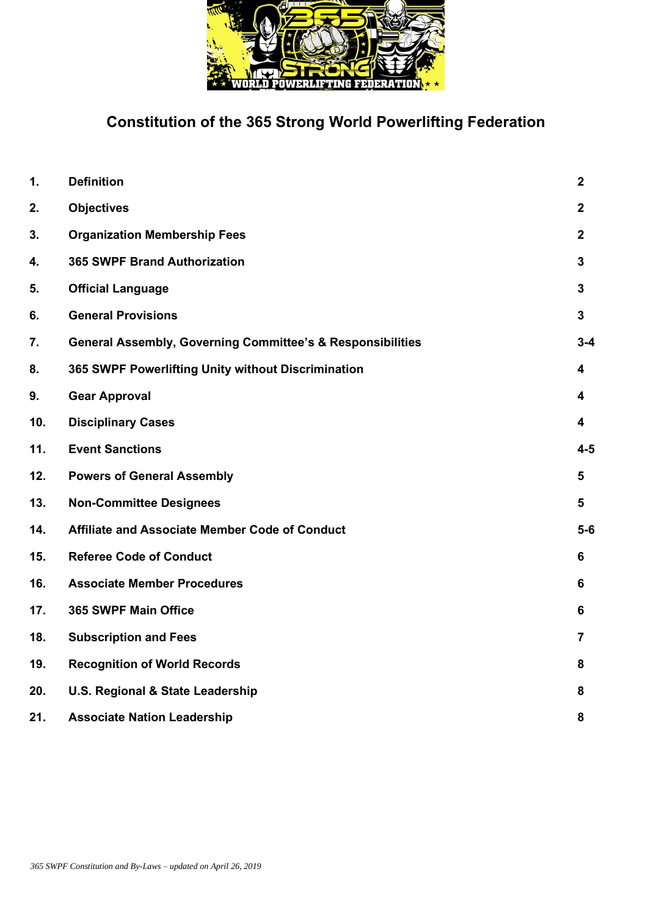

# **Constitution of the 365 Strong World Powerlifting Federation**

| 1.  | <b>Definition</b>                                                     | $\mathbf{2}$            |
|-----|-----------------------------------------------------------------------|-------------------------|
| 2.  | <b>Objectives</b>                                                     | $\mathbf{2}$            |
| 3.  | <b>Organization Membership Fees</b>                                   | $\overline{2}$          |
| 4.  | <b>365 SWPF Brand Authorization</b>                                   | $\mathbf{3}$            |
| 5.  | <b>Official Language</b>                                              | $\mathbf{3}$            |
| 6.  | <b>General Provisions</b>                                             | $\mathbf{3}$            |
| 7.  | <b>General Assembly, Governing Committee's &amp; Responsibilities</b> | $3 - 4$                 |
| 8.  | 365 SWPF Powerlifting Unity without Discrimination                    | $\overline{\mathbf{4}}$ |
| 9.  | <b>Gear Approval</b>                                                  | 4                       |
| 10. | <b>Disciplinary Cases</b>                                             | 4                       |
| 11. | <b>Event Sanctions</b>                                                | $4 - 5$                 |
| 12. | <b>Powers of General Assembly</b>                                     | 5                       |
| 13. | <b>Non-Committee Designees</b>                                        | 5                       |
| 14. | Affiliate and Associate Member Code of Conduct                        | $5-6$                   |
| 15. | <b>Referee Code of Conduct</b>                                        | 6                       |
| 16. | <b>Associate Member Procedures</b>                                    | 6                       |
| 17. | <b>365 SWPF Main Office</b>                                           | 6                       |
| 18. | <b>Subscription and Fees</b>                                          | $\overline{7}$          |
| 19. | <b>Recognition of World Records</b>                                   | 8                       |
| 20. | U.S. Regional & State Leadership                                      | 8                       |
| 21. | <b>Associate Nation Leadership</b>                                    | 8                       |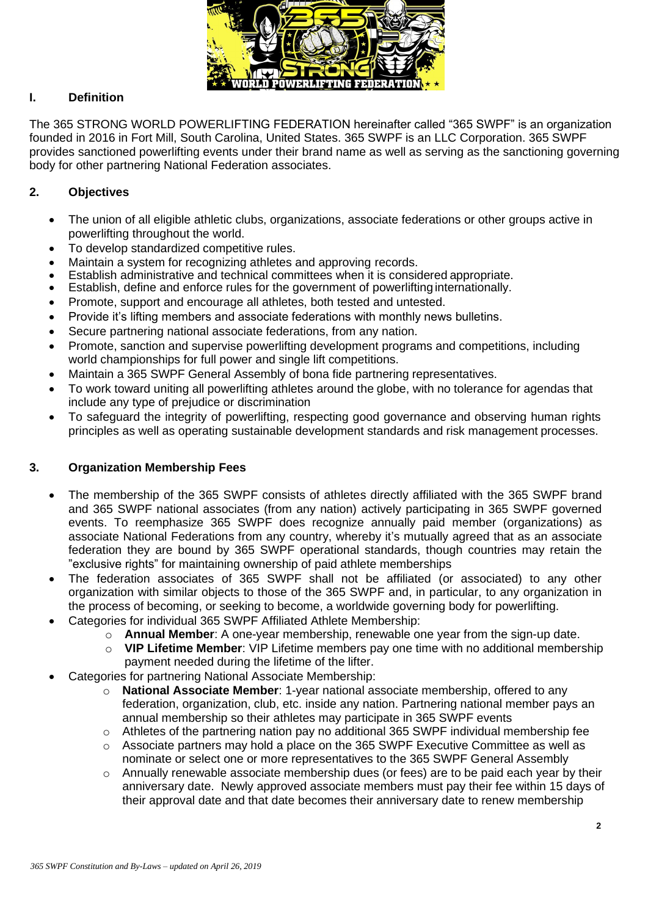

# **I. Definition**

The 365 STRONG WORLD POWERLIFTING FEDERATION hereinafter called "365 SWPF" is an organization founded in 2016 in Fort Mill, South Carolina, United States. 365 SWPF is an LLC Corporation. 365 SWPF provides sanctioned powerlifting events under their brand name as well as serving as the sanctioning governing body for other partnering National Federation associates.

# **2. Objectives**

- The union of all eligible athletic clubs, organizations, associate federations or other groups active in powerlifting throughout the world.
- To develop standardized competitive rules.
- Maintain a system for recognizing athletes and approving records.
- Establish administrative and technical committees when it is considered appropriate.
- Establish, define and enforce rules for the government of powerlifting internationally.
- Promote, support and encourage all athletes, both tested and untested.
- Provide it's lifting members and associate federations with monthly news bulletins.
- Secure partnering national associate federations, from any nation.
- Promote, sanction and supervise powerlifting development programs and competitions, including world championships for full power and single lift competitions.
- Maintain a 365 SWPF General Assembly of bona fide partnering representatives.
- To work toward uniting all powerlifting athletes around the globe, with no tolerance for agendas that include any type of prejudice or discrimination
- To safeguard the integrity of powerlifting, respecting good governance and observing human rights principles as well as operating sustainable development standards and risk management processes.

#### **3. Organization Membership Fees**

- The membership of the 365 SWPF consists of athletes directly affiliated with the 365 SWPF brand and 365 SWPF national associates (from any nation) actively participating in 365 SWPF governed events. To reemphasize 365 SWPF does recognize annually paid member (organizations) as associate National Federations from any country, whereby it's mutually agreed that as an associate federation they are bound by 365 SWPF operational standards, though countries may retain the "exclusive rights" for maintaining ownership of paid athlete memberships
- The federation associates of 365 SWPF shall not be affiliated (or associated) to any other organization with similar objects to those of the 365 SWPF and, in particular, to any organization in the process of becoming, or seeking to become, a worldwide governing body for powerlifting.
- Categories for individual 365 SWPF Affiliated Athlete Membership:
	- o **Annual Member**: A one-year membership, renewable one year from the sign-up date.
	- o **VIP Lifetime Member**: VIP Lifetime members pay one time with no additional membership payment needed during the lifetime of the lifter.
- Categories for partnering National Associate Membership:
	- o **National Associate Member**: 1-year national associate membership, offered to any federation, organization, club, etc. inside any nation. Partnering national member pays an annual membership so their athletes may participate in 365 SWPF events
	- o Athletes of the partnering nation pay no additional 365 SWPF individual membership fee
	- $\circ$  Associate partners may hold a place on the 365 SWPF Executive Committee as well as nominate or select one or more representatives to the 365 SWPF General Assembly
	- o Annually renewable associate membership dues (or fees) are to be paid each year by their anniversary date. Newly approved associate members must pay their fee within 15 days of their approval date and that date becomes their anniversary date to renew membership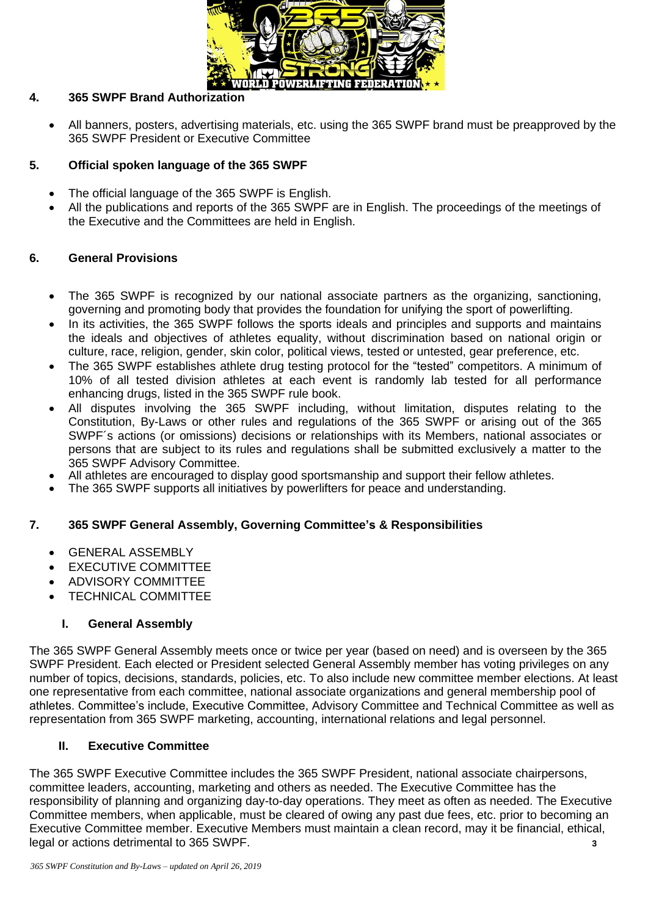

## **4. 365 SWPF Brand Authorization**

• All banners, posters, advertising materials, etc. using the 365 SWPF brand must be preapproved by the 365 SWPF President or Executive Committee

## **5. Official spoken language of the 365 SWPF**

- The official language of the 365 SWPF is English.
- All the publications and reports of the 365 SWPF are in English. The proceedings of the meetings of the Executive and the Committees are held in English.

## **6. General Provisions**

- The 365 SWPF is recognized by our national associate partners as the organizing, sanctioning, governing and promoting body that provides the foundation for unifying the sport of powerlifting.
- In its activities, the 365 SWPF follows the sports ideals and principles and supports and maintains the ideals and objectives of athletes equality, without discrimination based on national origin or culture, race, religion, gender, skin color, political views, tested or untested, gear preference, etc.
- The 365 SWPF establishes athlete drug testing protocol for the "tested" competitors. A minimum of 10% of all tested division athletes at each event is randomly lab tested for all performance enhancing drugs, listed in the 365 SWPF rule book.
- All disputes involving the 365 SWPF including, without limitation, disputes relating to the Constitution, By-Laws or other rules and regulations of the 365 SWPF or arising out of the 365 SWPF´s actions (or omissions) decisions or relationships with its Members, national associates or persons that are subject to its rules and regulations shall be submitted exclusively a matter to the 365 SWPF Advisory Committee.
- All athletes are encouraged to display good sportsmanship and support their fellow athletes.
- The 365 SWPF supports all initiatives by powerlifters for peace and understanding.

# **7. 365 SWPF General Assembly, Governing Committee's & Responsibilities**

- GENERAL ASSEMBLY
- **EXECUTIVE COMMITTEE**
- ADVISORY COMMITTEE
- TECHNICAL COMMITTEE

#### **I. General Assembly**

The 365 SWPF General Assembly meets once or twice per year (based on need) and is overseen by the 365 SWPF President. Each elected or President selected General Assembly member has voting privileges on any number of topics, decisions, standards, policies, etc. To also include new committee member elections. At least one representative from each committee, national associate organizations and general membership pool of athletes. Committee's include, Executive Committee, Advisory Committee and Technical Committee as well as representation from 365 SWPF marketing, accounting, international relations and legal personnel.

#### **II. Executive Committee**

The 365 SWPF Executive Committee includes the 365 SWPF President, national associate chairpersons, committee leaders, accounting, marketing and others as needed. The Executive Committee has the responsibility of planning and organizing day-to-day operations. They meet as often as needed. The Executive Committee members, when applicable, must be cleared of owing any past due fees, etc. prior to becoming an Executive Committee member. Executive Members must maintain a clean record, may it be financial, ethical, legal or actions detrimental to 365 SWPF. **3**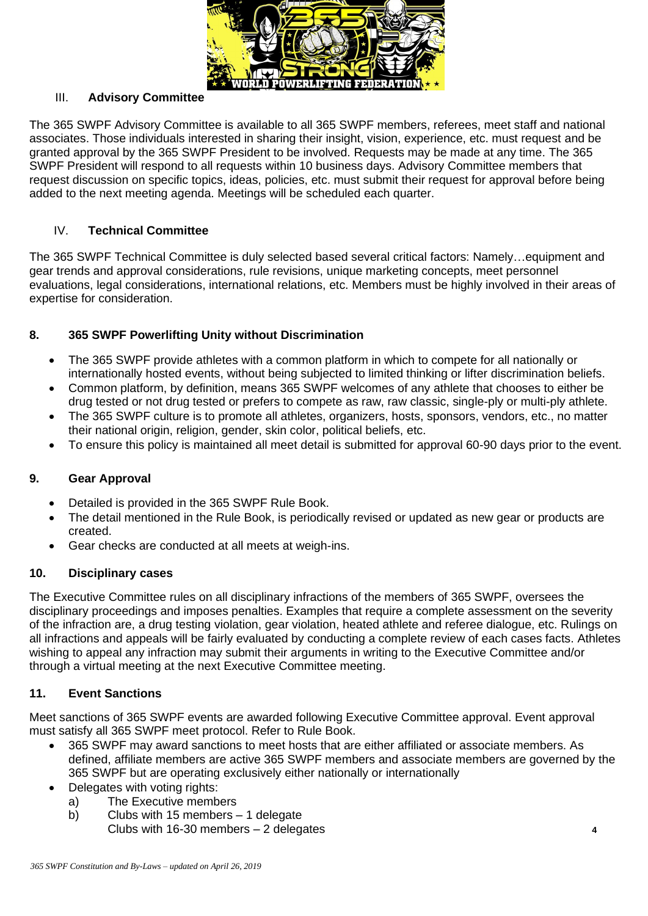

## III. **Advisory Committee**

The 365 SWPF Advisory Committee is available to all 365 SWPF members, referees, meet staff and national associates. Those individuals interested in sharing their insight, vision, experience, etc. must request and be granted approval by the 365 SWPF President to be involved. Requests may be made at any time. The 365 SWPF President will respond to all requests within 10 business days. Advisory Committee members that request discussion on specific topics, ideas, policies, etc. must submit their request for approval before being added to the next meeting agenda. Meetings will be scheduled each quarter.

## IV. **Technical Committee**

The 365 SWPF Technical Committee is duly selected based several critical factors: Namely…equipment and gear trends and approval considerations, rule revisions, unique marketing concepts, meet personnel evaluations, legal considerations, international relations, etc. Members must be highly involved in their areas of expertise for consideration.

## **8. 365 SWPF Powerlifting Unity without Discrimination**

- The 365 SWPF provide athletes with a common platform in which to compete for all nationally or internationally hosted events, without being subjected to limited thinking or lifter discrimination beliefs.
- Common platform, by definition, means 365 SWPF welcomes of any athlete that chooses to either be drug tested or not drug tested or prefers to compete as raw, raw classic, single-ply or multi-ply athlete.
- The 365 SWPF culture is to promote all athletes, organizers, hosts, sponsors, vendors, etc., no matter their national origin, religion, gender, skin color, political beliefs, etc.
- To ensure this policy is maintained all meet detail is submitted for approval 60-90 days prior to the event.

#### **9. Gear Approval**

- Detailed is provided in the 365 SWPF Rule Book.
- The detail mentioned in the Rule Book, is periodically revised or updated as new gear or products are created.
- Gear checks are conducted at all meets at weigh-ins.

### **10. Disciplinary cases**

The Executive Committee rules on all disciplinary infractions of the members of 365 SWPF, oversees the disciplinary proceedings and imposes penalties. Examples that require a complete assessment on the severity of the infraction are, a drug testing violation, gear violation, heated athlete and referee dialogue, etc. Rulings on all infractions and appeals will be fairly evaluated by conducting a complete review of each cases facts. Athletes wishing to appeal any infraction may submit their arguments in writing to the Executive Committee and/or through a virtual meeting at the next Executive Committee meeting.

# **11. Event Sanctions**

Meet sanctions of 365 SWPF events are awarded following Executive Committee approval. Event approval must satisfy all 365 SWPF meet protocol. Refer to Rule Book.

- 365 SWPF may award sanctions to meet hosts that are either affiliated or associate members. As defined, affiliate members are active 365 SWPF members and associate members are governed by the 365 SWPF but are operating exclusively either nationally or internationally
- Delegates with voting rights:
	- a) The Executive members
	- b) Clubs with 15 members 1 delegate Clubs with 16-30 members – 2 delegates **4**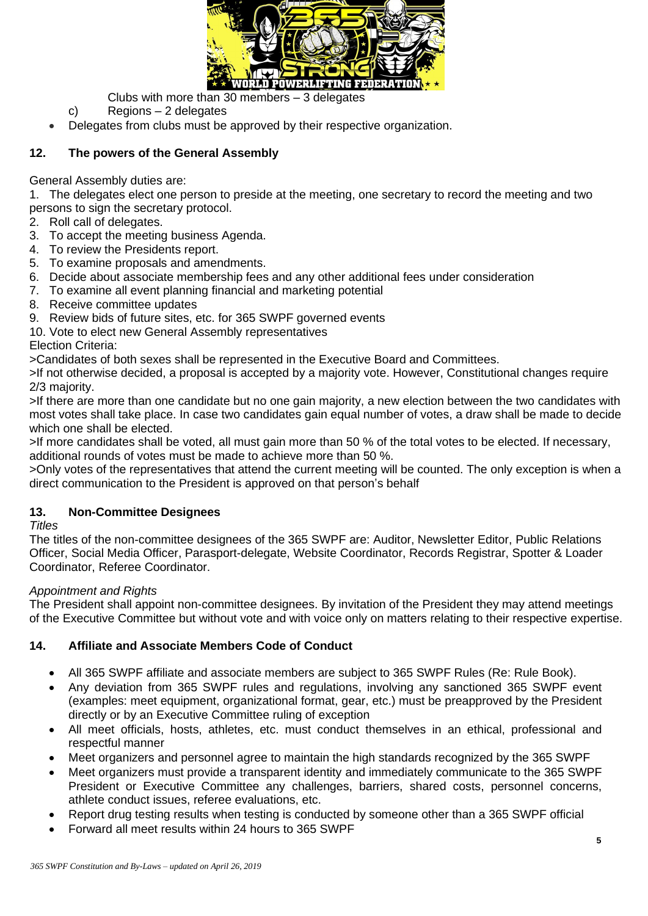

Clubs with more than 30 members – 3 delegates

- c) Regions 2 delegates
- Delegates from clubs must be approved by their respective organization.

# **12. The powers of the General Assembly**

General Assembly duties are:

1. The delegates elect one person to preside at the meeting, one secretary to record the meeting and two persons to sign the secretary protocol.

- 2. Roll call of delegates.
- 3. To accept the meeting business Agenda.
- 4. To review the Presidents report.
- 5. To examine proposals and amendments.
- 6. Decide about associate membership fees and any other additional fees under consideration
- 7. To examine all event planning financial and marketing potential
- 8. Receive committee updates
- 9. Review bids of future sites, etc. for 365 SWPF governed events
- 10. Vote to elect new General Assembly representatives

Election Criteria:

>Candidates of both sexes shall be represented in the Executive Board and Committees.

>If not otherwise decided, a proposal is accepted by a majority vote. However, Constitutional changes require 2/3 majority.

>If there are more than one candidate but no one gain majority, a new election between the two candidates with most votes shall take place. In case two candidates gain equal number of votes, a draw shall be made to decide which one shall be elected.

>If more candidates shall be voted, all must gain more than 50 % of the total votes to be elected. If necessary, additional rounds of votes must be made to achieve more than 50 %.

>Only votes of the representatives that attend the current meeting will be counted. The only exception is when a direct communication to the President is approved on that person's behalf

# **13. Non-Committee Designees**

*Titles*

The titles of the non-committee designees of the 365 SWPF are: Auditor, Newsletter Editor, Public Relations Officer, Social Media Officer, Parasport-delegate, Website Coordinator, Records Registrar, Spotter & Loader Coordinator, Referee Coordinator.

#### *Appointment and Rights*

The President shall appoint non-committee designees. By invitation of the President they may attend meetings of the Executive Committee but without vote and with voice only on matters relating to their respective expertise.

# **14. Affiliate and Associate Members Code of Conduct**

- All 365 SWPF affiliate and associate members are subject to 365 SWPF Rules (Re: Rule Book).
- Any deviation from 365 SWPF rules and regulations, involving any sanctioned 365 SWPF event (examples: meet equipment, organizational format, gear, etc.) must be preapproved by the President directly or by an Executive Committee ruling of exception
- All meet officials, hosts, athletes, etc. must conduct themselves in an ethical, professional and respectful manner
- Meet organizers and personnel agree to maintain the high standards recognized by the 365 SWPF
- Meet organizers must provide a transparent identity and immediately communicate to the 365 SWPF President or Executive Committee any challenges, barriers, shared costs, personnel concerns, athlete conduct issues, referee evaluations, etc.
- Report drug testing results when testing is conducted by someone other than a 365 SWPF official
- Forward all meet results within 24 hours to 365 SWPF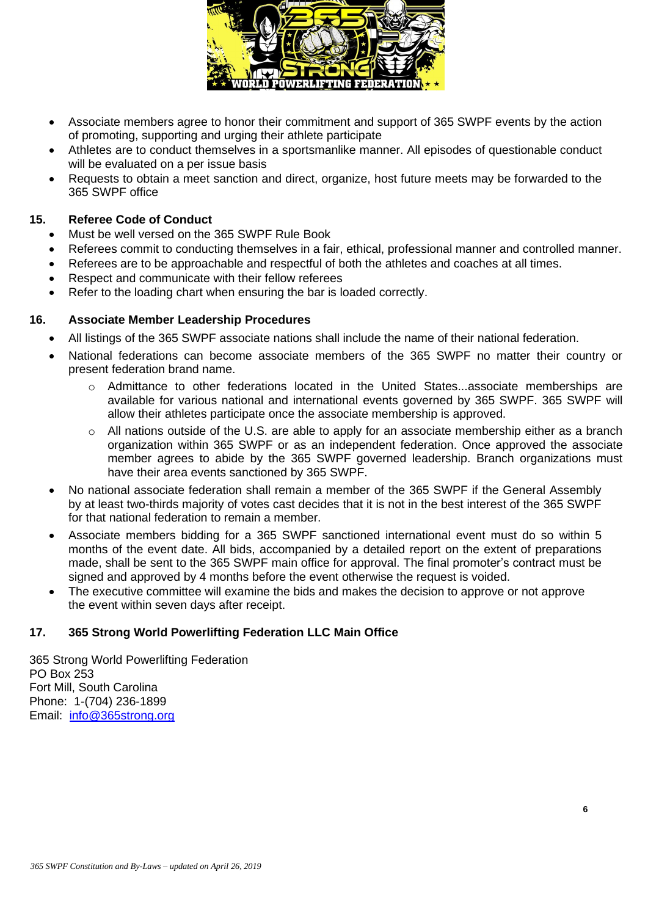

- Associate members agree to honor their commitment and support of 365 SWPF events by the action of promoting, supporting and urging their athlete participate
- Athletes are to conduct themselves in a sportsmanlike manner. All episodes of questionable conduct will be evaluated on a per issue basis
- Requests to obtain a meet sanction and direct, organize, host future meets may be forwarded to the 365 SWPF office

#### **15. Referee Code of Conduct**

- Must be well versed on the 365 SWPF Rule Book
- Referees commit to conducting themselves in a fair, ethical, professional manner and controlled manner.
- Referees are to be approachable and respectful of both the athletes and coaches at all times.
- Respect and communicate with their fellow referees
- Refer to the loading chart when ensuring the bar is loaded correctly.

## **16. Associate Member Leadership Procedures**

- All listings of the 365 SWPF associate nations shall include the name of their national federation.
- National federations can become associate members of the 365 SWPF no matter their country or present federation brand name.
	- o Admittance to other federations located in the United States...associate memberships are available for various national and international events governed by 365 SWPF. 365 SWPF will allow their athletes participate once the associate membership is approved.
	- o All nations outside of the U.S. are able to apply for an associate membership either as a branch organization within 365 SWPF or as an independent federation. Once approved the associate member agrees to abide by the 365 SWPF governed leadership. Branch organizations must have their area events sanctioned by 365 SWPF.
- No national associate federation shall remain a member of the 365 SWPF if the General Assembly by at least two-thirds majority of votes cast decides that it is not in the best interest of the 365 SWPF for that national federation to remain a member.
- Associate members bidding for a 365 SWPF sanctioned international event must do so within 5 months of the event date. All bids, accompanied by a detailed report on the extent of preparations made, shall be sent to the 365 SWPF main office for approval. The final promoter's contract must be signed and approved by 4 months before the event otherwise the request is voided.
- The executive committee will examine the bids and makes the decision to approve or not approve the event within seven days after receipt.

# **17. 365 Strong World Powerlifting Federation LLC Main Office**

365 Strong World Powerlifting Federation PO Box 253 Fort Mill, South Carolina Phone: 1-(704) 236-1899 Email: [info@365strong.org](mailto:info@365strong.org)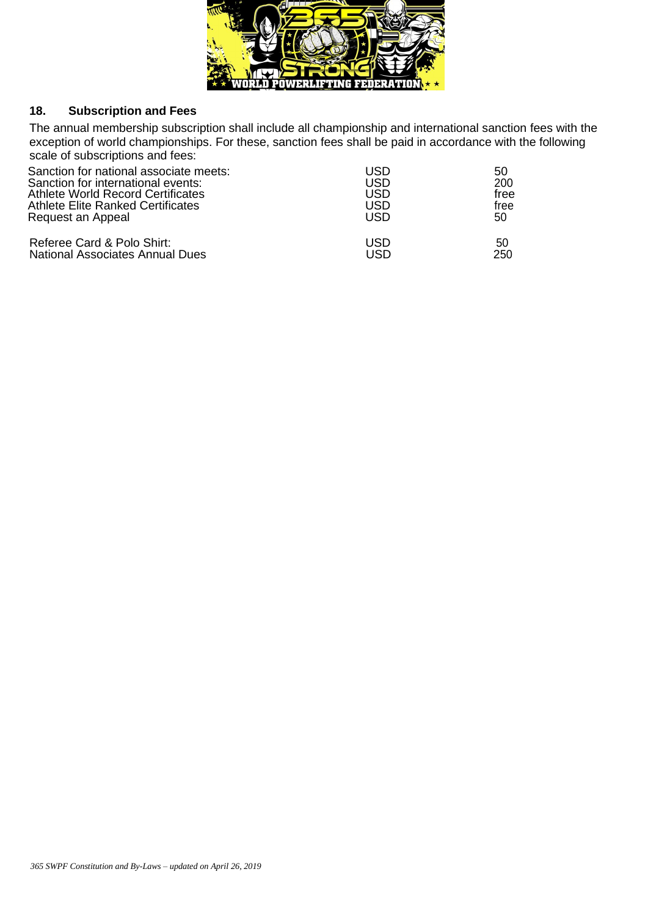

## **18. Subscription and Fees**

The annual membership subscription shall include all championship and international sanction fees with the exception of world championships. For these, sanction fees shall be paid in accordance with the following scale of subscriptions and fees:

| Sanction for national associate meets:   | USD | 50   |
|------------------------------------------|-----|------|
| Sanction for international events:       | USD | 200  |
| Athlete World Record Certificates        | USD | free |
| <b>Athlete Elite Ranked Certificates</b> | USD | free |
| Request an Appeal                        | USD | 50   |
| Referee Card & Polo Shirt:               | USD | 50   |
| National Associates Annual Dues          | USD | 250  |